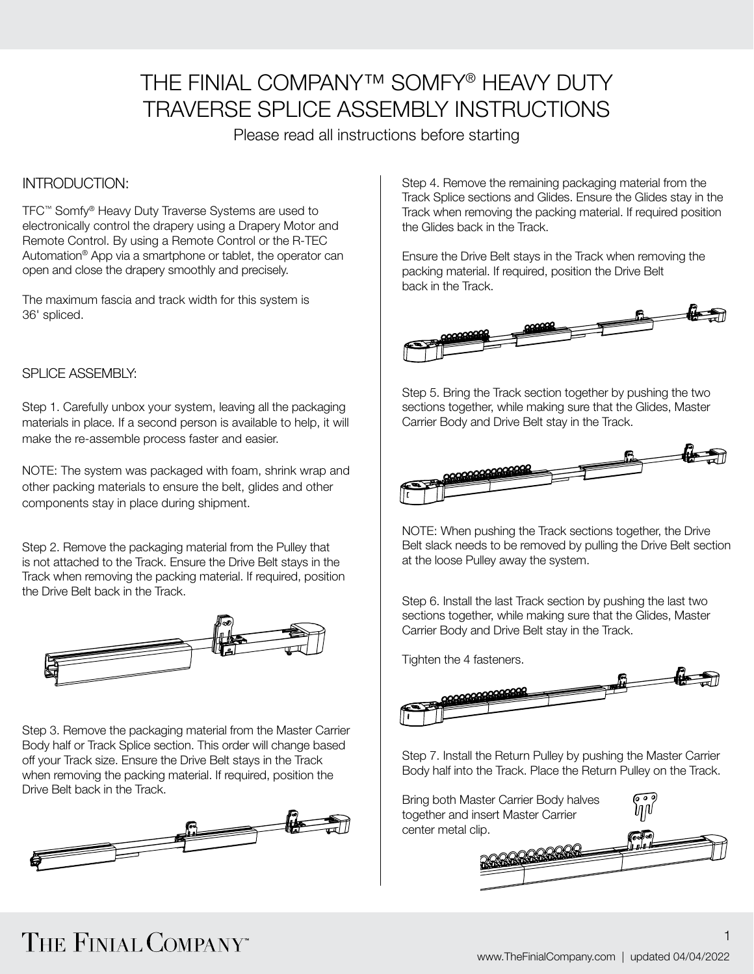### THE FINIAL COMPANY™ SOMFY® HEAVY DUTY TRAVERSE SPLICE ASSEMBLY INSTRUCTIONS

Please read all instructions before starting

### INTRODUCTION:

TFC™ Somfy® Heavy Duty Traverse Systems are used to electronically control the drapery using a Drapery Motor and Remote Control. By using a Remote Control or the R-TEC Automation® App via a smartphone or tablet, the operator can open and close the drapery smoothly and precisely.

The maximum fascia and track width for this system is 36' spliced.

### SPLICE ASSEMBLY:

Step 1. Carefully unbox your system, leaving all the packaging materials in place. If a second person is available to help, it will make the re-assemble process faster and easier.

NOTE: The system was packaged with foam, shrink wrap and other packing materials to ensure the belt, glides and other components stay in place during shipment.

Step 2. Remove the packaging material from the Pulley that is not attached to the Track. Ensure the Drive Belt stays in the Track when removing the packing material. If required, position the Drive Belt back in the Track.



Step 3. Remove the packaging material from the Master Carrier Body half or Track Splice section. This order will change based off your Track size. Ensure the Drive Belt stays in the Track when removing the packing material. If required, position the Drive Belt back in the Track.



Step 4. Remove the remaining packaging material from the Track Splice sections and Glides. Ensure the Glides stay in the Track when removing the packing material. If required position the Glides back in the Track.

Ensure the Drive Belt stays in the Track when removing the packing material. If required, position the Drive Belt back in the Track.



Step 5. Bring the Track section together by pushing the two sections together, while making sure that the Glides, Master Carrier Body and Drive Belt stay in the Track.



NOTE: When pushing the Track sections together, the Drive Belt slack needs to be removed by pulling the Drive Belt section at the loose Pulley away the system.

Step 6. Install the last Track section by pushing the last two sections together, while making sure that the Glides, Master Carrier Body and Drive Belt stay in the Track.

Tighten the 4 fasteners.



Step 7. Install the Return Pulley by pushing the Master Carrier Body half into the Track. Place the Return Pulley on the Track.



# THE FINIAL COMPANY